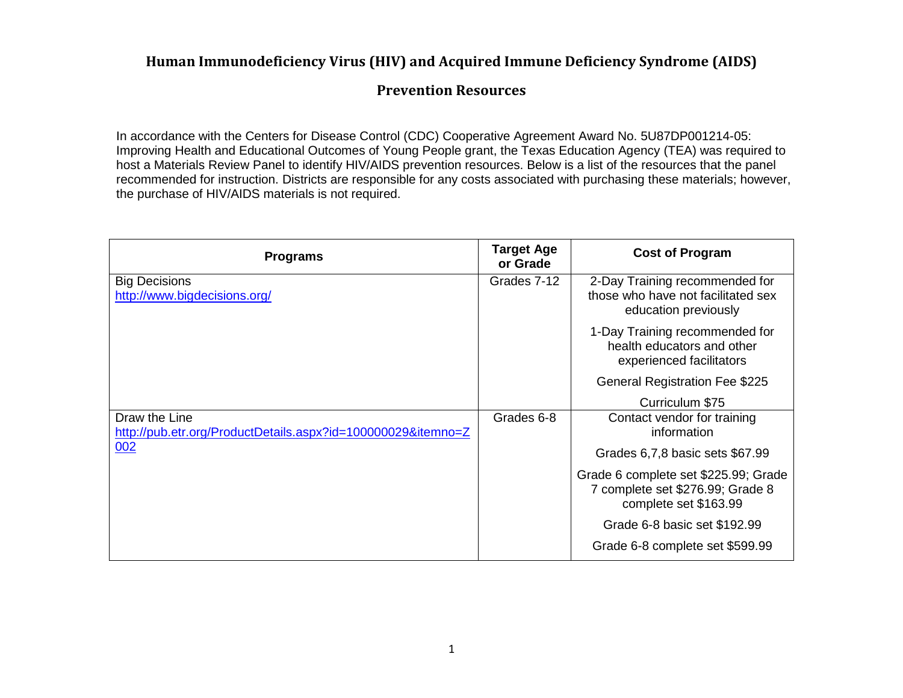#### **Human Immunodeficiency Virus (HIV) and Acquired Immune Deficiency Syndrome (AIDS)**

#### **Prevention Resources**

In accordance with the Centers for Disease Control (CDC) Cooperative Agreement Award No. 5U87DP001214-05: Improving Health and Educational Outcomes of Young People grant, the Texas Education Agency (TEA) was required to host a Materials Review Panel to identify HIV/AIDS prevention resources. Below is a list of the resources that the panel recommended for instruction. Districts are responsible for any costs associated with purchasing these materials; however, the purchase of HIV/AIDS materials is not required.

| <b>Programs</b>                                                               | <b>Target Age</b><br>or Grade | <b>Cost of Program</b>                                                                            |
|-------------------------------------------------------------------------------|-------------------------------|---------------------------------------------------------------------------------------------------|
| <b>Big Decisions</b><br>http://www.bigdecisions.org/                          | Grades 7-12                   | 2-Day Training recommended for<br>those who have not facilitated sex<br>education previously      |
|                                                                               |                               | 1-Day Training recommended for<br>health educators and other<br>experienced facilitators          |
|                                                                               |                               | <b>General Registration Fee \$225</b>                                                             |
|                                                                               |                               | Curriculum \$75                                                                                   |
| Draw the Line<br>http://pub.etr.org/ProductDetails.aspx?id=100000029&itemno=Z | Grades 6-8                    | Contact vendor for training<br>information                                                        |
| 002                                                                           |                               | Grades 6,7,8 basic sets \$67.99                                                                   |
|                                                                               |                               | Grade 6 complete set \$225.99; Grade<br>7 complete set \$276.99; Grade 8<br>complete set \$163.99 |
|                                                                               |                               | Grade 6-8 basic set \$192.99                                                                      |
|                                                                               |                               | Grade 6-8 complete set \$599.99                                                                   |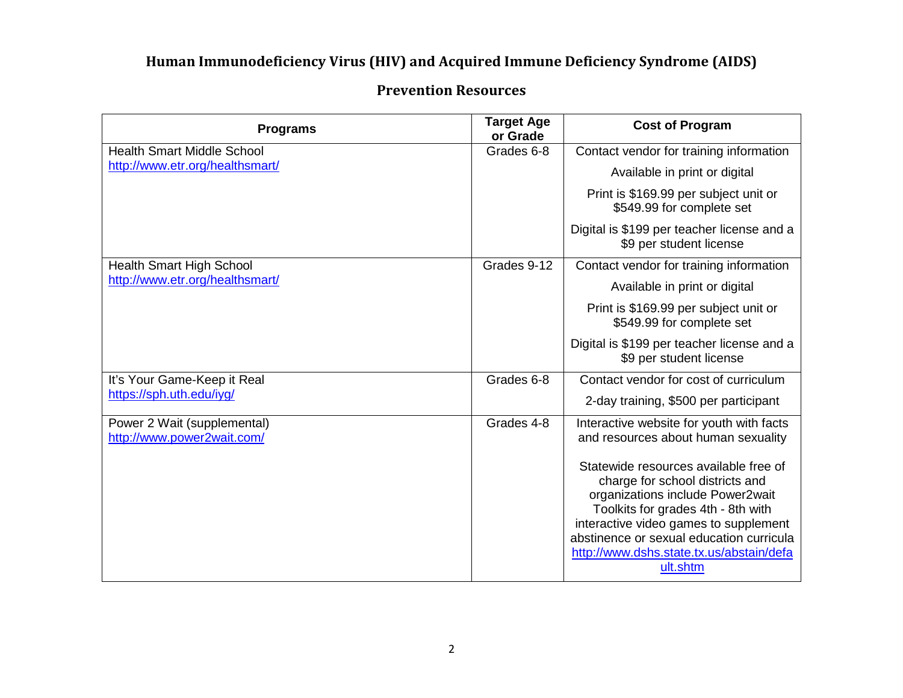## **Human Immunodeficiency Virus (HIV) and Acquired Immune Deficiency Syndrome (AIDS)**

# **Prevention Resources**

| <b>Programs</b>                                           | <b>Target Age</b><br>or Grade | <b>Cost of Program</b>                                                                                                                                                                                                                                                                          |
|-----------------------------------------------------------|-------------------------------|-------------------------------------------------------------------------------------------------------------------------------------------------------------------------------------------------------------------------------------------------------------------------------------------------|
| <b>Health Smart Middle School</b>                         | Grades 6-8                    | Contact vendor for training information                                                                                                                                                                                                                                                         |
| http://www.etr.org/healthsmart/                           |                               | Available in print or digital                                                                                                                                                                                                                                                                   |
|                                                           |                               | Print is \$169.99 per subject unit or<br>\$549.99 for complete set                                                                                                                                                                                                                              |
|                                                           |                               | Digital is \$199 per teacher license and a<br>\$9 per student license                                                                                                                                                                                                                           |
| Health Smart High School                                  | Grades 9-12                   | Contact vendor for training information                                                                                                                                                                                                                                                         |
| http://www.etr.org/healthsmart/                           |                               | Available in print or digital                                                                                                                                                                                                                                                                   |
|                                                           |                               | Print is \$169.99 per subject unit or<br>\$549.99 for complete set                                                                                                                                                                                                                              |
|                                                           |                               | Digital is \$199 per teacher license and a<br>\$9 per student license                                                                                                                                                                                                                           |
| It's Your Game-Keep it Real                               | Grades 6-8                    | Contact vendor for cost of curriculum                                                                                                                                                                                                                                                           |
| https://sph.uth.edu/iyg/                                  |                               | 2-day training, \$500 per participant                                                                                                                                                                                                                                                           |
| Power 2 Wait (supplemental)<br>http://www.power2wait.com/ | Grades 4-8                    | Interactive website for youth with facts<br>and resources about human sexuality                                                                                                                                                                                                                 |
|                                                           |                               | Statewide resources available free of<br>charge for school districts and<br>organizations include Power2wait<br>Toolkits for grades 4th - 8th with<br>interactive video games to supplement<br>abstinence or sexual education curricula<br>http://www.dshs.state.tx.us/abstain/defa<br>ult.shtm |